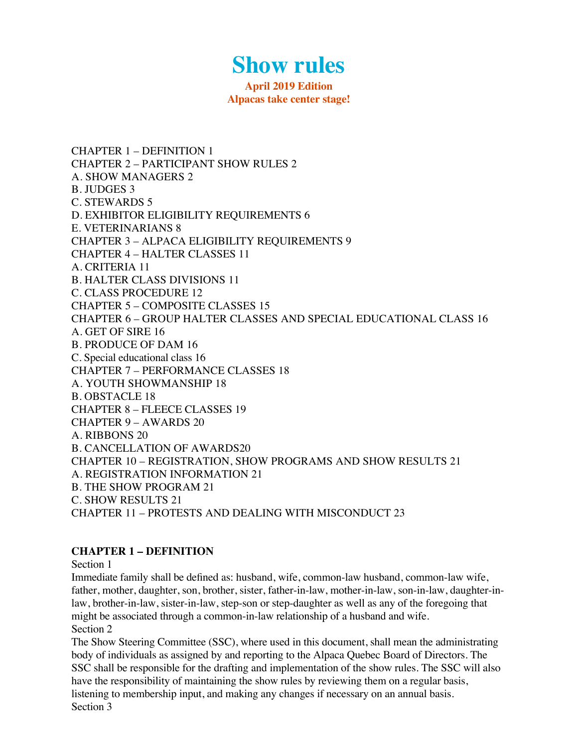# **Show rules**

#### **April 2019 Edition Alpacas take center stage!**

CHAPTER 1 – DEFINITION 1 CHAPTER 2 – PARTICIPANT SHOW RULES 2 A. SHOW MANAGERS 2 B. JUDGES 3 C. STEWARDS 5 D. EXHIBITOR ELIGIBILITY REQUIREMENTS 6 E. VETERINARIANS 8 CHAPTER 3 – ALPACA ELIGIBILITY REQUIREMENTS 9 CHAPTER 4 – HALTER CLASSES 11 A. CRITERIA 11 B. HALTER CLASS DIVISIONS 11 C. CLASS PROCEDURE 12 CHAPTER 5 – COMPOSITE CLASSES 15 CHAPTER 6 – GROUP HALTER CLASSES AND SPECIAL EDUCATIONAL CLASS 16 A. GET OF SIRE 16 B. PRODUCE OF DAM 16 C. Special educational class 16 CHAPTER 7 – PERFORMANCE CLASSES 18 A. YOUTH SHOWMANSHIP 18 B. OBSTACLE 18 CHAPTER 8 – FLEECE CLASSES 19 CHAPTER 9 – AWARDS 20 A. RIBBONS 20 B. CANCELLATION OF AWARDS20 CHAPTER 10 – REGISTRATION, SHOW PROGRAMS AND SHOW RESULTS 21 A. REGISTRATION INFORMATION 21 B. THE SHOW PROGRAM 21 C. SHOW RESULTS 21 CHAPTER 11 – PROTESTS AND DEALING WITH MISCONDUCT 23

#### **CHAPTER 1 – DEFINITION**

Section 1

Immediate family shall be defined as: husband, wife, common-law husband, common-law wife, father, mother, daughter, son, brother, sister, father-in-law, mother-in-law, son-in-law, daughter-inlaw, brother-in-law, sister-in-law, step-son or step-daughter as well as any of the foregoing that might be associated through a common-in-law relationship of a husband and wife. Section 2

The Show Steering Committee (SSC), where used in this document, shall mean the administrating body of individuals as assigned by and reporting to the Alpaca Quebec Board of Directors. The SSC shall be responsible for the drafting and implementation of the show rules. The SSC will also have the responsibility of maintaining the show rules by reviewing them on a regular basis, listening to membership input, and making any changes if necessary on an annual basis. Section 3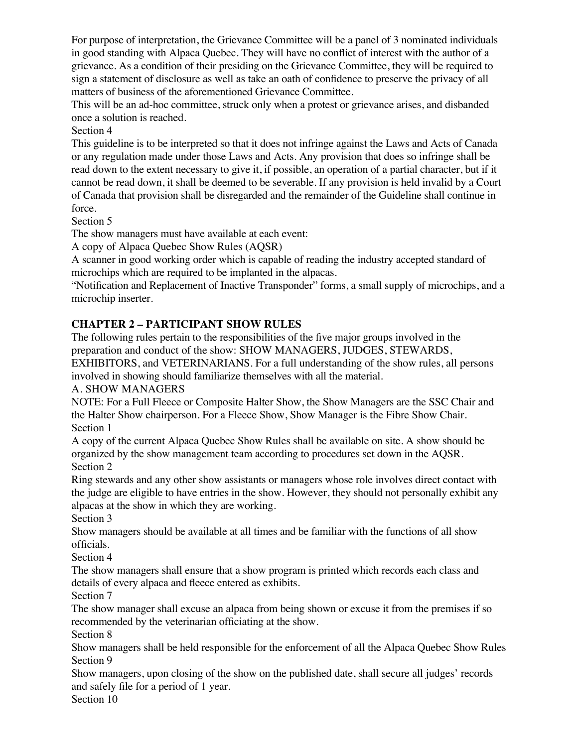For purpose of interpretation, the Grievance Committee will be a panel of 3 nominated individuals in good standing with Alpaca Quebec. They will have no conflict of interest with the author of a grievance. As a condition of their presiding on the Grievance Committee, they will be required to sign a statement of disclosure as well as take an oath of confidence to preserve the privacy of all matters of business of the aforementioned Grievance Committee.

This will be an ad-hoc committee, struck only when a protest or grievance arises, and disbanded once a solution is reached.

Section 4

This guideline is to be interpreted so that it does not infringe against the Laws and Acts of Canada or any regulation made under those Laws and Acts. Any provision that does so infringe shall be read down to the extent necessary to give it, if possible, an operation of a partial character, but if it cannot be read down, it shall be deemed to be severable. If any provision is held invalid by a Court of Canada that provision shall be disregarded and the remainder of the Guideline shall continue in force.

Section 5

The show managers must have available at each event:

A copy of Alpaca Quebec Show Rules (AQSR)

A scanner in good working order which is capable of reading the industry accepted standard of microchips which are required to be implanted in the alpacas.

"Notification and Replacement of Inactive Transponder" forms, a small supply of microchips, and a microchip inserter.

# **CHAPTER 2 – PARTICIPANT SHOW RULES**

The following rules pertain to the responsibilities of the five major groups involved in the preparation and conduct of the show: SHOW MANAGERS, JUDGES, STEWARDS,

EXHIBITORS, and VETERINARIANS. For a full understanding of the show rules, all persons involved in showing should familiarize themselves with all the material.

## A. SHOW MANAGERS

NOTE: For a Full Fleece or Composite Halter Show, the Show Managers are the SSC Chair and the Halter Show chairperson. For a Fleece Show, Show Manager is the Fibre Show Chair. Section 1

A copy of the current Alpaca Quebec Show Rules shall be available on site. A show should be organized by the show management team according to procedures set down in the AQSR. Section 2

Ring stewards and any other show assistants or managers whose role involves direct contact with the judge are eligible to have entries in the show. However, they should not personally exhibit any alpacas at the show in which they are working.

Section 3

Show managers should be available at all times and be familiar with the functions of all show officials.

Section 4

The show managers shall ensure that a show program is printed which records each class and details of every alpaca and fleece entered as exhibits.

Section 7

The show manager shall excuse an alpaca from being shown or excuse it from the premises if so recommended by the veterinarian officiating at the show.

Section 8

Show managers shall be held responsible for the enforcement of all the Alpaca Quebec Show Rules Section 9

Show managers, upon closing of the show on the published date, shall secure all judges' records and safely file for a period of 1 year.

Section 10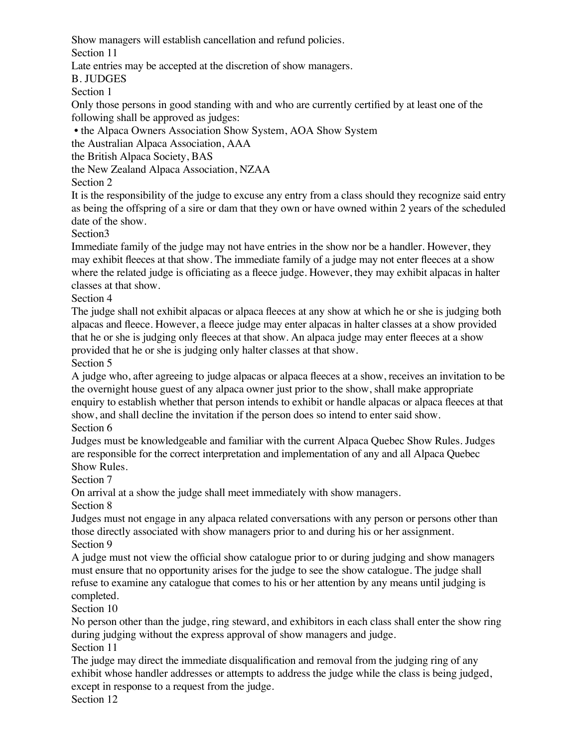Show managers will establish cancellation and refund policies.

Section 11

Late entries may be accepted at the discretion of show managers.

B. JUDGES

Section 1

Only those persons in good standing with and who are currently certified by at least one of the following shall be approved as judges:

• the Alpaca Owners Association Show System, AOA Show System

the Australian Alpaca Association, AAA

the British Alpaca Society, BAS

the New Zealand Alpaca Association, NZAA

Section 2

It is the responsibility of the judge to excuse any entry from a class should they recognize said entry as being the offspring of a sire or dam that they own or have owned within 2 years of the scheduled date of the show.

Section3

Immediate family of the judge may not have entries in the show nor be a handler. However, they may exhibit fleeces at that show. The immediate family of a judge may not enter fleeces at a show where the related judge is officiating as a fleece judge. However, they may exhibit alpacas in halter classes at that show.

Section 4

The judge shall not exhibit alpacas or alpaca fleeces at any show at which he or she is judging both alpacas and fleece. However, a fleece judge may enter alpacas in halter classes at a show provided that he or she is judging only fleeces at that show. An alpaca judge may enter fleeces at a show provided that he or she is judging only halter classes at that show.

Section 5

A judge who, after agreeing to judge alpacas or alpaca fleeces at a show, receives an invitation to be the overnight house guest of any alpaca owner just prior to the show, shall make appropriate enquiry to establish whether that person intends to exhibit or handle alpacas or alpaca fleeces at that show, and shall decline the invitation if the person does so intend to enter said show. Section 6

Judges must be knowledgeable and familiar with the current Alpaca Quebec Show Rules. Judges are responsible for the correct interpretation and implementation of any and all Alpaca Quebec Show Rules.

Section 7

On arrival at a show the judge shall meet immediately with show managers.

Section 8

Judges must not engage in any alpaca related conversations with any person or persons other than those directly associated with show managers prior to and during his or her assignment. Section 9

A judge must not view the official show catalogue prior to or during judging and show managers must ensure that no opportunity arises for the judge to see the show catalogue. The judge shall refuse to examine any catalogue that comes to his or her attention by any means until judging is completed.

Section 10

No person other than the judge, ring steward, and exhibitors in each class shall enter the show ring during judging without the express approval of show managers and judge.

Section 11

The judge may direct the immediate disqualification and removal from the judging ring of any exhibit whose handler addresses or attempts to address the judge while the class is being judged, except in response to a request from the judge.

Section 12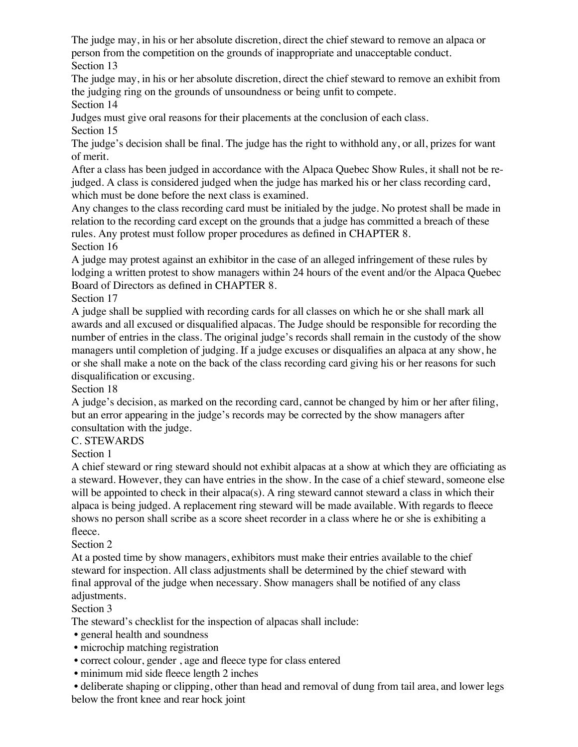The judge may, in his or her absolute discretion, direct the chief steward to remove an alpaca or person from the competition on the grounds of inappropriate and unacceptable conduct. Section 13

The judge may, in his or her absolute discretion, direct the chief steward to remove an exhibit from the judging ring on the grounds of unsoundness or being unfit to compete.

Section 14

Judges must give oral reasons for their placements at the conclusion of each class.

Section 15

The judge's decision shall be final. The judge has the right to withhold any, or all, prizes for want of merit.

After a class has been judged in accordance with the Alpaca Quebec Show Rules, it shall not be rejudged. A class is considered judged when the judge has marked his or her class recording card, which must be done before the next class is examined.

Any changes to the class recording card must be initialed by the judge. No protest shall be made in relation to the recording card except on the grounds that a judge has committed a breach of these rules. Any protest must follow proper procedures as defined in CHAPTER 8. Section 16

A judge may protest against an exhibitor in the case of an alleged infringement of these rules by lodging a written protest to show managers within 24 hours of the event and/or the Alpaca Quebec Board of Directors as defined in CHAPTER 8.

Section 17

A judge shall be supplied with recording cards for all classes on which he or she shall mark all awards and all excused or disqualified alpacas. The Judge should be responsible for recording the number of entries in the class. The original judge's records shall remain in the custody of the show managers until completion of judging. If a judge excuses or disqualifies an alpaca at any show, he or she shall make a note on the back of the class recording card giving his or her reasons for such disqualification or excusing.

Section 18

A judge's decision, as marked on the recording card, cannot be changed by him or her after filing, but an error appearing in the judge's records may be corrected by the show managers after consultation with the judge.

# C. STEWARDS

Section 1

A chief steward or ring steward should not exhibit alpacas at a show at which they are officiating as a steward. However, they can have entries in the show. In the case of a chief steward, someone else will be appointed to check in their alpaca(s). A ring steward cannot steward a class in which their alpaca is being judged. A replacement ring steward will be made available. With regards to fleece shows no person shall scribe as a score sheet recorder in a class where he or she is exhibiting a fleece.

# Section 2

At a posted time by show managers, exhibitors must make their entries available to the chief steward for inspection. All class adjustments shall be determined by the chief steward with final approval of the judge when necessary. Show managers shall be notified of any class adjustments.

## Section 3

The steward's checklist for the inspection of alpacas shall include:

- general health and soundness
- microchip matching registration
- correct colour, gender , age and fleece type for class entered
- minimum mid side fleece length 2 inches

 • deliberate shaping or clipping, other than head and removal of dung from tail area, and lower legs below the front knee and rear hock joint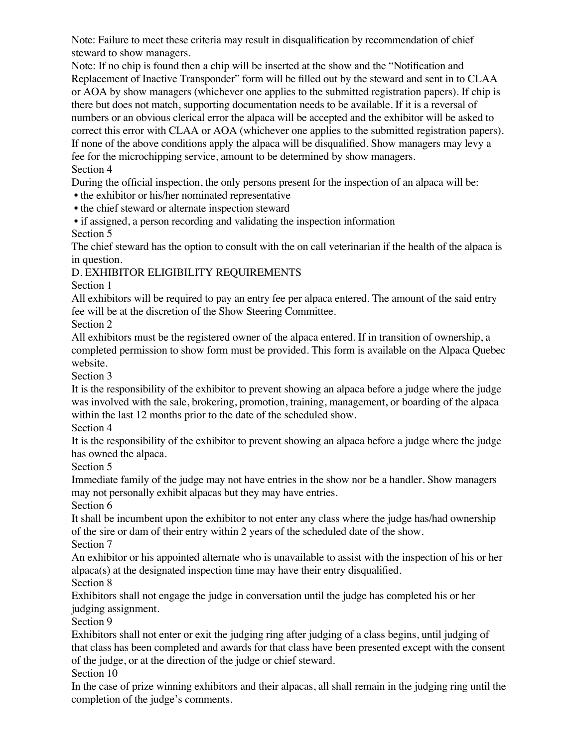Note: Failure to meet these criteria may result in disqualification by recommendation of chief steward to show managers.

Note: If no chip is found then a chip will be inserted at the show and the "Notification and Replacement of Inactive Transponder" form will be filled out by the steward and sent in to CLAA or AOA by show managers (whichever one applies to the submitted registration papers). If chip is there but does not match, supporting documentation needs to be available. If it is a reversal of numbers or an obvious clerical error the alpaca will be accepted and the exhibitor will be asked to correct this error with CLAA or AOA (whichever one applies to the submitted registration papers). If none of the above conditions apply the alpaca will be disqualified. Show managers may levy a fee for the microchipping service, amount to be determined by show managers. Section 4

During the official inspection, the only persons present for the inspection of an alpaca will be:

• the exhibitor or his/her nominated representative

• the chief steward or alternate inspection steward

• if assigned, a person recording and validating the inspection information

Section 5

The chief steward has the option to consult with the on call veterinarian if the health of the alpaca is in question.

# D. EXHIBITOR ELIGIBILITY REQUIREMENTS

Section 1

All exhibitors will be required to pay an entry fee per alpaca entered. The amount of the said entry fee will be at the discretion of the Show Steering Committee.

Section 2

All exhibitors must be the registered owner of the alpaca entered. If in transition of ownership, a completed permission to show form must be provided. This form is available on the Alpaca Quebec website.

Section 3

It is the responsibility of the exhibitor to prevent showing an alpaca before a judge where the judge was involved with the sale, brokering, promotion, training, management, or boarding of the alpaca within the last 12 months prior to the date of the scheduled show.

Section 4

It is the responsibility of the exhibitor to prevent showing an alpaca before a judge where the judge has owned the alpaca.

Section 5

Immediate family of the judge may not have entries in the show nor be a handler. Show managers may not personally exhibit alpacas but they may have entries.

Section 6

It shall be incumbent upon the exhibitor to not enter any class where the judge has/had ownership of the sire or dam of their entry within 2 years of the scheduled date of the show.

Section 7

An exhibitor or his appointed alternate who is unavailable to assist with the inspection of his or her alpaca(s) at the designated inspection time may have their entry disqualified.

Section 8

Exhibitors shall not engage the judge in conversation until the judge has completed his or her judging assignment.

Section 9

Exhibitors shall not enter or exit the judging ring after judging of a class begins, until judging of that class has been completed and awards for that class have been presented except with the consent of the judge, or at the direction of the judge or chief steward.

Section 10

In the case of prize winning exhibitors and their alpacas, all shall remain in the judging ring until the completion of the judge's comments.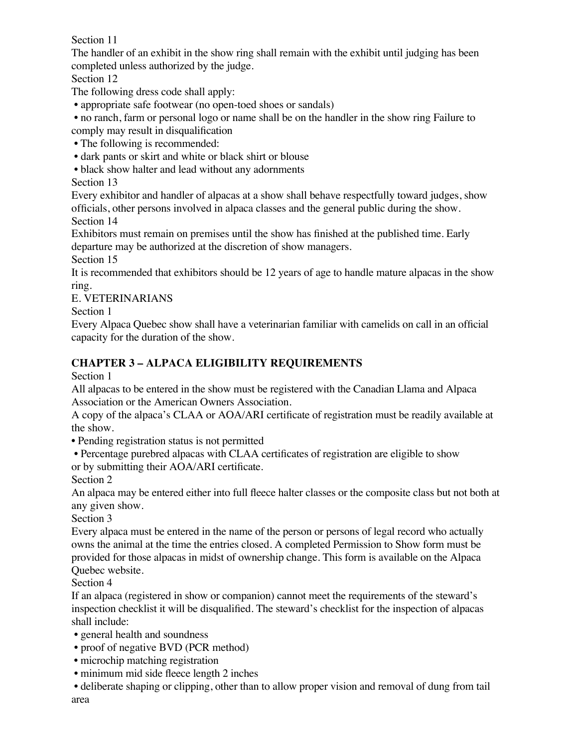Section 11

The handler of an exhibit in the show ring shall remain with the exhibit until judging has been completed unless authorized by the judge.

Section 12

The following dress code shall apply:

• appropriate safe footwear (no open-toed shoes or sandals)

 • no ranch, farm or personal logo or name shall be on the handler in the show ring Failure to comply may result in disqualification

• The following is recommended:

• dark pants or skirt and white or black shirt or blouse

• black show halter and lead without any adornments

Section 13

Every exhibitor and handler of alpacas at a show shall behave respectfully toward judges, show officials, other persons involved in alpaca classes and the general public during the show. Section 14

Exhibitors must remain on premises until the show has finished at the published time. Early departure may be authorized at the discretion of show managers.

Section 15

It is recommended that exhibitors should be 12 years of age to handle mature alpacas in the show ring.

E. VETERINARIANS

Section 1

Every Alpaca Quebec show shall have a veterinarian familiar with camelids on call in an official capacity for the duration of the show.

# **CHAPTER 3 – ALPACA ELIGIBILITY REQUIREMENTS**

Section 1

All alpacas to be entered in the show must be registered with the Canadian Llama and Alpaca Association or the American Owners Association.

A copy of the alpaca's CLAA or AOA/ARI certificate of registration must be readily available at the show.

• Pending registration status is not permitted

 • Percentage purebred alpacas with CLAA certificates of registration are eligible to show or by submitting their AOA/ARI certificate.

Section 2

An alpaca may be entered either into full fleece halter classes or the composite class but not both at any given show.

Section 3

Every alpaca must be entered in the name of the person or persons of legal record who actually owns the animal at the time the entries closed. A completed Permission to Show form must be provided for those alpacas in midst of ownership change. This form is available on the Alpaca Quebec website.

Section 4

If an alpaca (registered in show or companion) cannot meet the requirements of the steward's inspection checklist it will be disqualified. The steward's checklist for the inspection of alpacas shall include:

• general health and soundness

- proof of negative BVD (PCR method)
- microchip matching registration
- minimum mid side fleece length 2 inches

 • deliberate shaping or clipping, other than to allow proper vision and removal of dung from tail area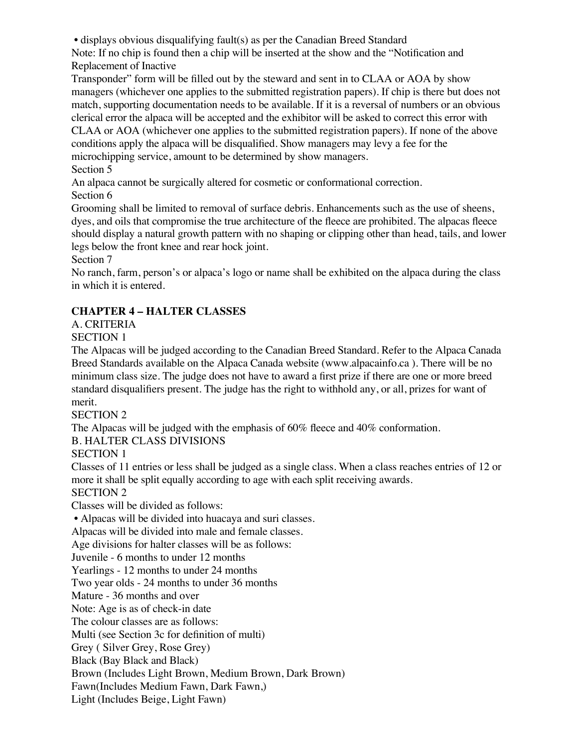• displays obvious disqualifying fault(s) as per the Canadian Breed Standard

Note: If no chip is found then a chip will be inserted at the show and the "Notification and Replacement of Inactive

Transponder" form will be filled out by the steward and sent in to CLAA or AOA by show managers (whichever one applies to the submitted registration papers). If chip is there but does not match, supporting documentation needs to be available. If it is a reversal of numbers or an obvious clerical error the alpaca will be accepted and the exhibitor will be asked to correct this error with CLAA or AOA (whichever one applies to the submitted registration papers). If none of the above conditions apply the alpaca will be disqualified. Show managers may levy a fee for the

microchipping service, amount to be determined by show managers.

Section 5

An alpaca cannot be surgically altered for cosmetic or conformational correction. Section 6

Grooming shall be limited to removal of surface debris. Enhancements such as the use of sheens, dyes, and oils that compromise the true architecture of the fleece are prohibited. The alpacas fleece should display a natural growth pattern with no shaping or clipping other than head, tails, and lower legs below the front knee and rear hock joint.

Section 7

No ranch, farm, person's or alpaca's logo or name shall be exhibited on the alpaca during the class in which it is entered.

# **CHAPTER 4 – HALTER CLASSES**

A. CRITERIA

SECTION 1

The Alpacas will be judged according to the Canadian Breed Standard. Refer to the Alpaca Canada Breed Standards available on the Alpaca Canada website (www.alpacainfo.ca ). There will be no minimum class size. The judge does not have to award a first prize if there are one or more breed standard disqualifiers present. The judge has the right to withhold any, or all, prizes for want of merit.

SECTION 2

The Alpacas will be judged with the emphasis of 60% fleece and 40% conformation.

B. HALTER CLASS DIVISIONS

SECTION 1

Classes of 11 entries or less shall be judged as a single class. When a class reaches entries of 12 or more it shall be split equally according to age with each split receiving awards.

SECTION 2

Classes will be divided as follows:

• Alpacas will be divided into huacaya and suri classes.

Alpacas will be divided into male and female classes.

Age divisions for halter classes will be as follows:

Juvenile - 6 months to under 12 months

Yearlings - 12 months to under 24 months

Two year olds - 24 months to under 36 months

Mature - 36 months and over

Note: Age is as of check-in date

The colour classes are as follows:

Multi (see Section 3c for definition of multi)

Grey ( Silver Grey, Rose Grey)

Black (Bay Black and Black)

Brown (Includes Light Brown, Medium Brown, Dark Brown)

Fawn(Includes Medium Fawn, Dark Fawn,)

Light (Includes Beige, Light Fawn)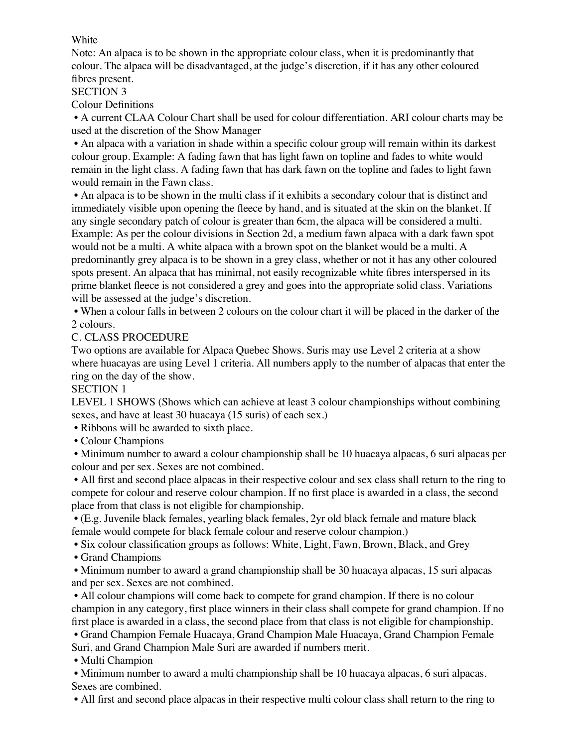#### White

Note: An alpaca is to be shown in the appropriate colour class, when it is predominantly that colour. The alpaca will be disadvantaged, at the judge's discretion, if it has any other coloured fibres present.

SECTION 3

Colour Definitions

 • A current CLAA Colour Chart shall be used for colour differentiation. ARI colour charts may be used at the discretion of the Show Manager

 • An alpaca with a variation in shade within a specific colour group will remain within its darkest colour group. Example: A fading fawn that has light fawn on topline and fades to white would remain in the light class. A fading fawn that has dark fawn on the topline and fades to light fawn would remain in the Fawn class.

 • An alpaca is to be shown in the multi class if it exhibits a secondary colour that is distinct and immediately visible upon opening the fleece by hand, and is situated at the skin on the blanket. If any single secondary patch of colour is greater than 6cm, the alpaca will be considered a multi. Example: As per the colour divisions in Section 2d, a medium fawn alpaca with a dark fawn spot would not be a multi. A white alpaca with a brown spot on the blanket would be a multi. A predominantly grey alpaca is to be shown in a grey class, whether or not it has any other coloured spots present. An alpaca that has minimal, not easily recognizable white fibres interspersed in its prime blanket fleece is not considered a grey and goes into the appropriate solid class. Variations will be assessed at the judge's discretion.

 • When a colour falls in between 2 colours on the colour chart it will be placed in the darker of the 2 colours.

## C. CLASS PROCEDURE

Two options are available for Alpaca Quebec Shows. Suris may use Level 2 criteria at a show where huacayas are using Level 1 criteria. All numbers apply to the number of alpacas that enter the ring on the day of the show.

## SECTION 1

LEVEL 1 SHOWS (Shows which can achieve at least 3 colour championships without combining sexes, and have at least 30 huacaya (15 suris) of each sex.)

• Ribbons will be awarded to sixth place.

• Colour Champions

 • Minimum number to award a colour championship shall be 10 huacaya alpacas, 6 suri alpacas per colour and per sex. Sexes are not combined.

 • All first and second place alpacas in their respective colour and sex class shall return to the ring to compete for colour and reserve colour champion. If no first place is awarded in a class, the second place from that class is not eligible for championship.

 • (E.g. Juvenile black females, yearling black females, 2yr old black female and mature black female would compete for black female colour and reserve colour champion.)

• Six colour classification groups as follows: White, Light, Fawn, Brown, Black, and Grey

• Grand Champions

 • Minimum number to award a grand championship shall be 30 huacaya alpacas, 15 suri alpacas and per sex. Sexes are not combined.

 • All colour champions will come back to compete for grand champion. If there is no colour champion in any category, first place winners in their class shall compete for grand champion. If no first place is awarded in a class, the second place from that class is not eligible for championship.

 • Grand Champion Female Huacaya, Grand Champion Male Huacaya, Grand Champion Female Suri, and Grand Champion Male Suri are awarded if numbers merit.

• Multi Champion

 • Minimum number to award a multi championship shall be 10 huacaya alpacas, 6 suri alpacas. Sexes are combined.

• All first and second place alpacas in their respective multi colour class shall return to the ring to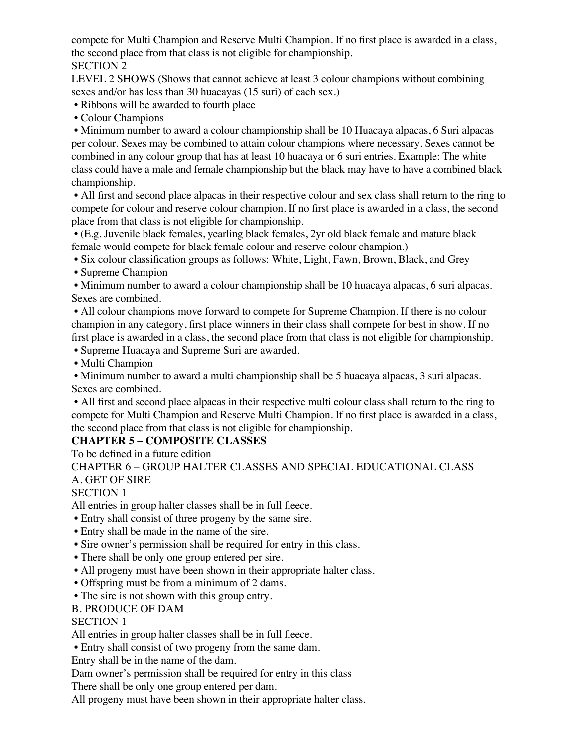compete for Multi Champion and Reserve Multi Champion. If no first place is awarded in a class, the second place from that class is not eligible for championship. SECTION 2

LEVEL 2 SHOWS (Shows that cannot achieve at least 3 colour champions without combining sexes and/or has less than 30 huacayas (15 suri) of each sex.)

• Ribbons will be awarded to fourth place

• Colour Champions

 • Minimum number to award a colour championship shall be 10 Huacaya alpacas, 6 Suri alpacas per colour. Sexes may be combined to attain colour champions where necessary. Sexes cannot be combined in any colour group that has at least 10 huacaya or 6 suri entries. Example: The white class could have a male and female championship but the black may have to have a combined black championship.

 • All first and second place alpacas in their respective colour and sex class shall return to the ring to compete for colour and reserve colour champion. If no first place is awarded in a class, the second place from that class is not eligible for championship.

 • (E.g. Juvenile black females, yearling black females, 2yr old black female and mature black female would compete for black female colour and reserve colour champion.)

• Six colour classification groups as follows: White, Light, Fawn, Brown, Black, and Grey

• Supreme Champion

 • Minimum number to award a colour championship shall be 10 huacaya alpacas, 6 suri alpacas. Sexes are combined.

 • All colour champions move forward to compete for Supreme Champion. If there is no colour champion in any category, first place winners in their class shall compete for best in show. If no first place is awarded in a class, the second place from that class is not eligible for championship.

• Supreme Huacaya and Supreme Suri are awarded.

• Multi Champion

 • Minimum number to award a multi championship shall be 5 huacaya alpacas, 3 suri alpacas. Sexes are combined.

 • All first and second place alpacas in their respective multi colour class shall return to the ring to compete for Multi Champion and Reserve Multi Champion. If no first place is awarded in a class, the second place from that class is not eligible for championship.

#### **CHAPTER 5 – COMPOSITE CLASSES**

To be defined in a future edition

CHAPTER 6 – GROUP HALTER CLASSES AND SPECIAL EDUCATIONAL CLASS A. GET OF SIRE

SECTION 1

All entries in group halter classes shall be in full fleece.

• Entry shall consist of three progeny by the same sire.

- Entry shall be made in the name of the sire.
- Sire owner's permission shall be required for entry in this class.
- There shall be only one group entered per sire.
- All progeny must have been shown in their appropriate halter class.
- Offspring must be from a minimum of 2 dams.
- The sire is not shown with this group entry.

B. PRODUCE OF DAM

SECTION 1

All entries in group halter classes shall be in full fleece.

• Entry shall consist of two progeny from the same dam.

Entry shall be in the name of the dam.

Dam owner's permission shall be required for entry in this class

There shall be only one group entered per dam.

All progeny must have been shown in their appropriate halter class.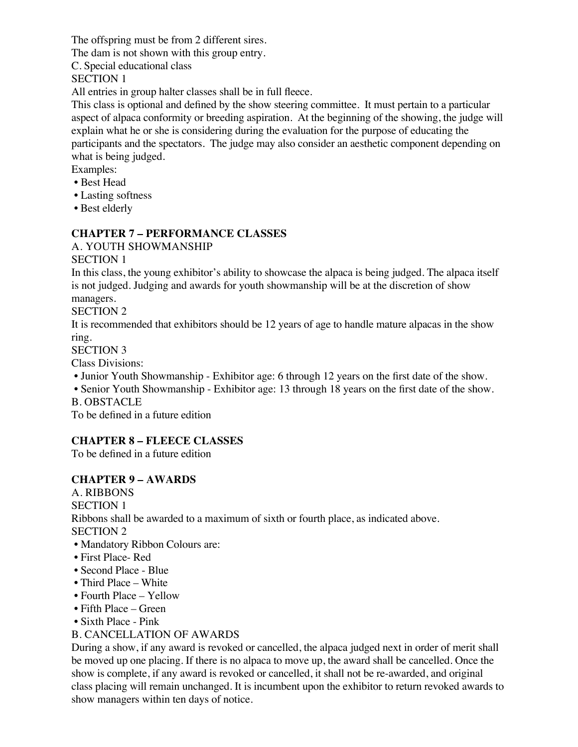The offspring must be from 2 different sires.

The dam is not shown with this group entry.

C. Special educational class

SECTION 1

All entries in group halter classes shall be in full fleece.

This class is optional and defined by the show steering committee. It must pertain to a particular aspect of alpaca conformity or breeding aspiration. At the beginning of the showing, the judge will explain what he or she is considering during the evaluation for the purpose of educating the participants and the spectators. The judge may also consider an aesthetic component depending on what is being judged.

Examples:

- Best Head
- Lasting softness
- Best elderly

## **CHAPTER 7 – PERFORMANCE CLASSES**

A. YOUTH SHOWMANSHIP

SECTION 1

In this class, the young exhibitor's ability to showcase the alpaca is being judged. The alpaca itself is not judged. Judging and awards for youth showmanship will be at the discretion of show managers.

## SECTION 2

It is recommended that exhibitors should be 12 years of age to handle mature alpacas in the show ring.

SECTION 3

Class Divisions:

• Junior Youth Showmanship - Exhibitor age: 6 through 12 years on the first date of the show.

• Senior Youth Showmanship - Exhibitor age: 13 through 18 years on the first date of the show.

B. OBSTACLE

To be defined in a future edition

## **CHAPTER 8 – FLEECE CLASSES**

To be defined in a future edition

## **CHAPTER 9 – AWARDS**

A. RIBBONS SECTION 1 Ribbons shall be awarded to a maximum of sixth or fourth place, as indicated above. SECTION 2

- Mandatory Ribbon Colours are:
- First Place- Red
- Second Place Blue
- Third Place White
- Fourth Place Yellow
- Fifth Place Green
- Sixth Place Pink

## B. CANCELLATION OF AWARDS

During a show, if any award is revoked or cancelled, the alpaca judged next in order of merit shall be moved up one placing. If there is no alpaca to move up, the award shall be cancelled. Once the show is complete, if any award is revoked or cancelled, it shall not be re-awarded, and original class placing will remain unchanged. It is incumbent upon the exhibitor to return revoked awards to show managers within ten days of notice.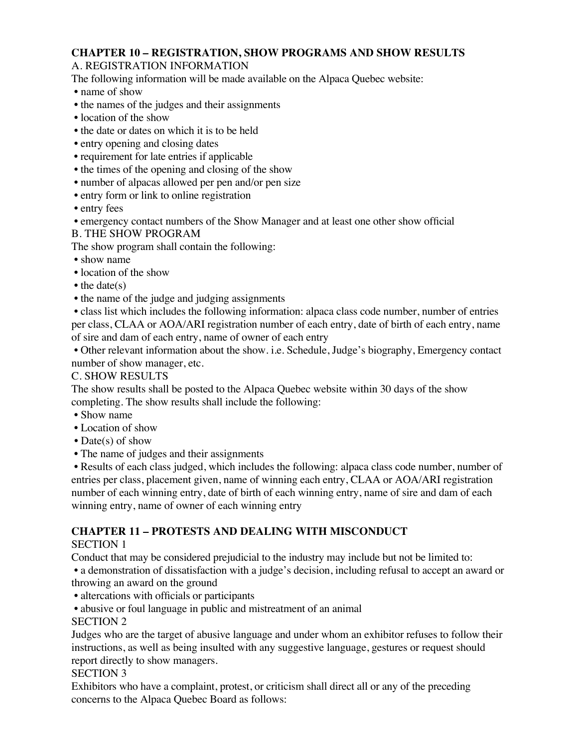# **CHAPTER 10 – REGISTRATION, SHOW PROGRAMS AND SHOW RESULTS**

## A. REGISTRATION INFORMATION

The following information will be made available on the Alpaca Quebec website:

- name of show
- the names of the judges and their assignments
- location of the show
- the date or dates on which it is to be held
- entry opening and closing dates
- requirement for late entries if applicable
- the times of the opening and closing of the show
- number of alpacas allowed per pen and/or pen size
- entry form or link to online registration

• entry fees

• emergency contact numbers of the Show Manager and at least one other show official

## B. THE SHOW PROGRAM

The show program shall contain the following:

• show name

- location of the show
- the date(s)
- the name of the judge and judging assignments

 • class list which includes the following information: alpaca class code number, number of entries per class, CLAA or AOA/ARI registration number of each entry, date of birth of each entry, name of sire and dam of each entry, name of owner of each entry

 • Other relevant information about the show. i.e. Schedule, Judge's biography, Emergency contact number of show manager, etc.

## C. SHOW RESULTS

The show results shall be posted to the Alpaca Quebec website within 30 days of the show completing. The show results shall include the following:

- Show name
- Location of show
- Date(s) of show
- The name of judges and their assignments

 • Results of each class judged, which includes the following: alpaca class code number, number of entries per class, placement given, name of winning each entry, CLAA or AOA/ARI registration number of each winning entry, date of birth of each winning entry, name of sire and dam of each winning entry, name of owner of each winning entry

## **CHAPTER 11 – PROTESTS AND DEALING WITH MISCONDUCT**

## SECTION 1

Conduct that may be considered prejudicial to the industry may include but not be limited to:

 • a demonstration of dissatisfaction with a judge's decision, including refusal to accept an award or throwing an award on the ground

- altercations with officials or participants
- abusive or foul language in public and mistreatment of an animal

## SECTION 2

Judges who are the target of abusive language and under whom an exhibitor refuses to follow their instructions, as well as being insulted with any suggestive language, gestures or request should report directly to show managers.

## SECTION 3

Exhibitors who have a complaint, protest, or criticism shall direct all or any of the preceding concerns to the Alpaca Quebec Board as follows: